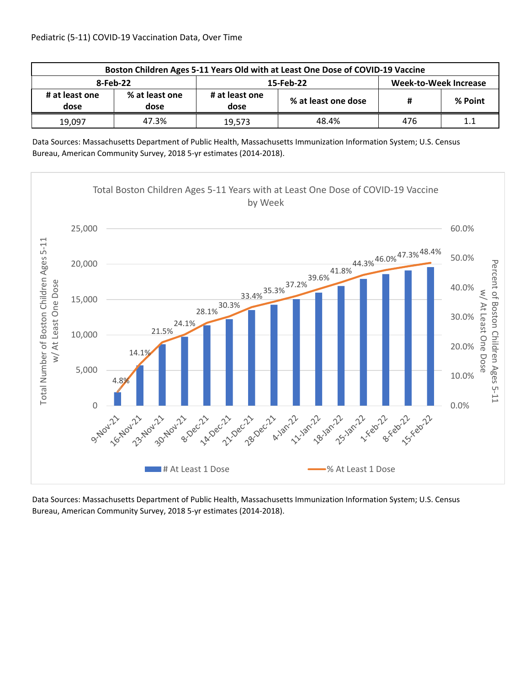| Boston Children Ages 5-11 Years Old with at Least One Dose of COVID-19 Vaccine |                        |                        |                     |                              |         |  |  |
|--------------------------------------------------------------------------------|------------------------|------------------------|---------------------|------------------------------|---------|--|--|
| 8-Feb-22                                                                       |                        |                        | 15-Feb-22           | <b>Week-to-Week Increase</b> |         |  |  |
| # at least one<br>dose                                                         | % at least one<br>dose | # at least one<br>dose | % at least one dose | #                            | % Point |  |  |
| 19,097                                                                         | 47.3%                  | 19.573                 | 48.4%               | 476                          | $1.1\,$ |  |  |

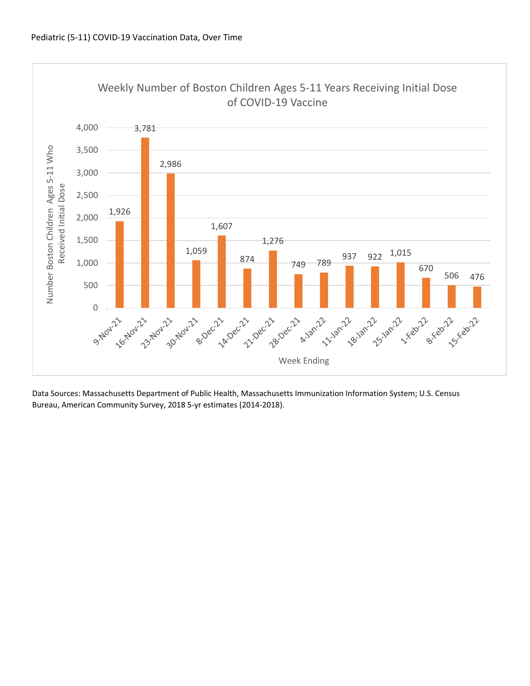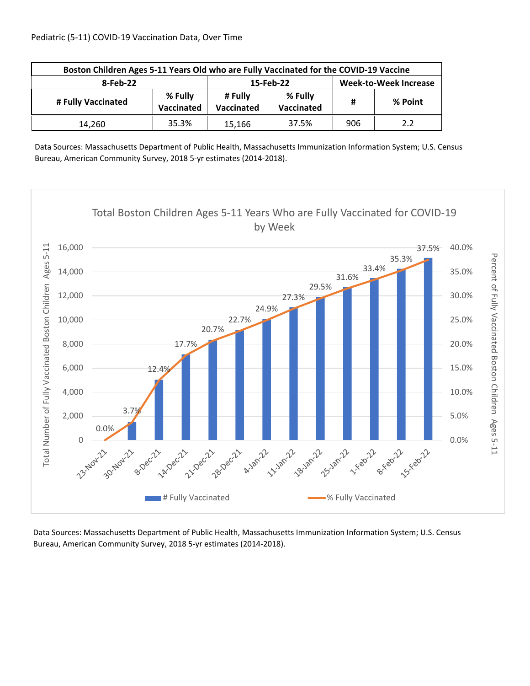| Boston Children Ages 5-11 Years Old who are Fully Vaccinated for the COVID-19 Vaccine |       |                       |                              |     |         |  |
|---------------------------------------------------------------------------------------|-------|-----------------------|------------------------------|-----|---------|--|
| 8-Feb-22                                                                              |       | 15-Feb-22             | <b>Week-to-Week Increase</b> |     |         |  |
| % Fully<br># Fully Vaccinated<br>Vaccinated                                           |       | # Fully<br>Vaccinated | % Fully<br>Vaccinated        | #   | % Point |  |
| 14.260                                                                                | 35.3% | 15,166                | 37.5%                        | 906 | 2.2     |  |

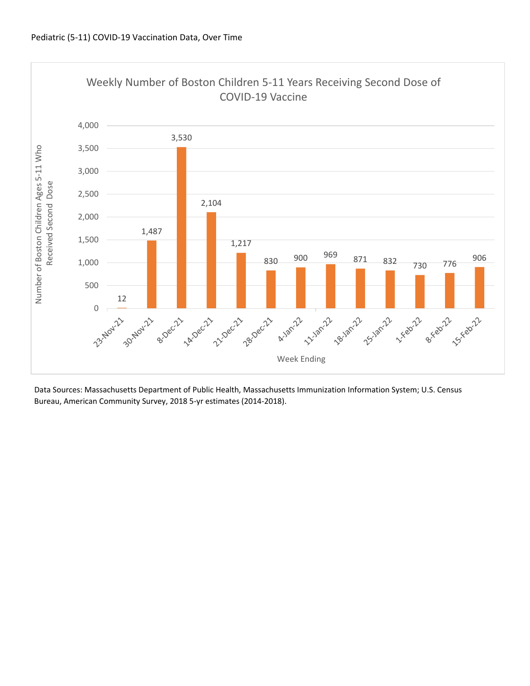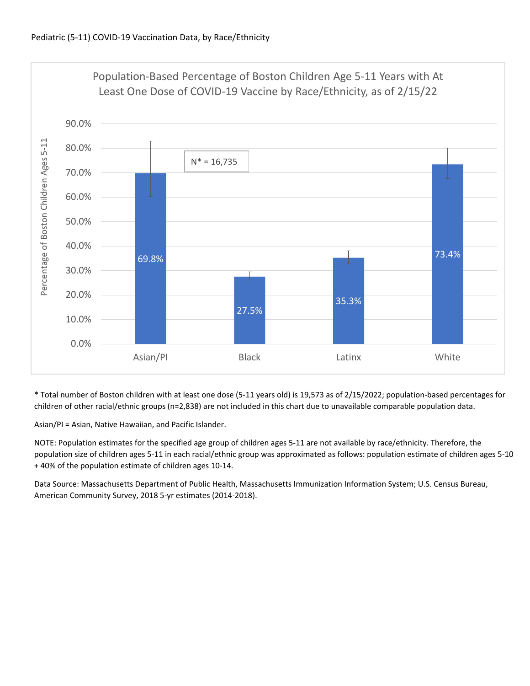

\* Total number of Boston children with at least one dose (5‐11 years old) is 19,573 as of 2/15/2022; population‐based percentages for children of other racial/ethnic groups (n=2,838) are not included in this chart due to unavailable comparable population data.

Asian/PI = Asian, Native Hawaiian, and Pacific Islander.

NOTE: Population estimates for the specified age group of children ages 5‐11 are not available by race/ethnicity. Therefore, the population size of children ages 5‐11 in each racial/ethnic group was approximated as follows: population estimate of children ages 5‐10 + 40% of the population estimate of children ages 10‐14.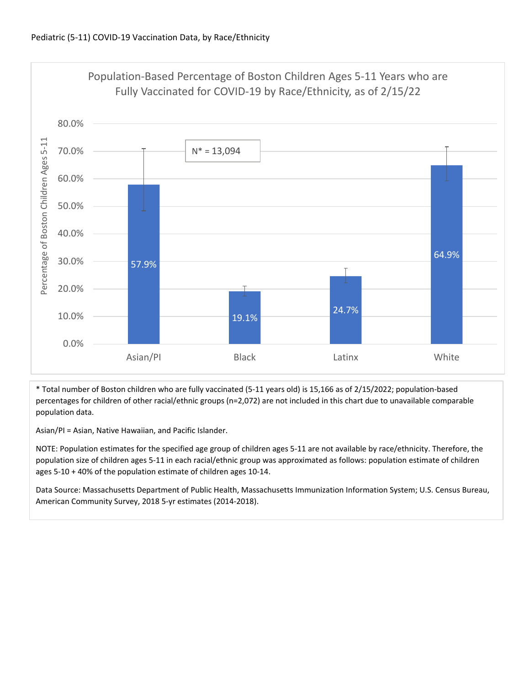

\* Total number of Boston children who are fully vaccinated (5‐11 years old) is 15,166 as of 2/15/2022; population‐based percentages for children of other racial/ethnic groups (n=2,072) are not included in this chart due to unavailable comparable population data.

Asian/PI = Asian, Native Hawaiian, and Pacific Islander.

NOTE: Population estimates for the specified age group of children ages 5‐11 are not available by race/ethnicity. Therefore, the population size of children ages 5‐11 in each racial/ethnic group was approximated as follows: population estimate of children ages 5‐10 + 40% of the population estimate of children ages 10‐14.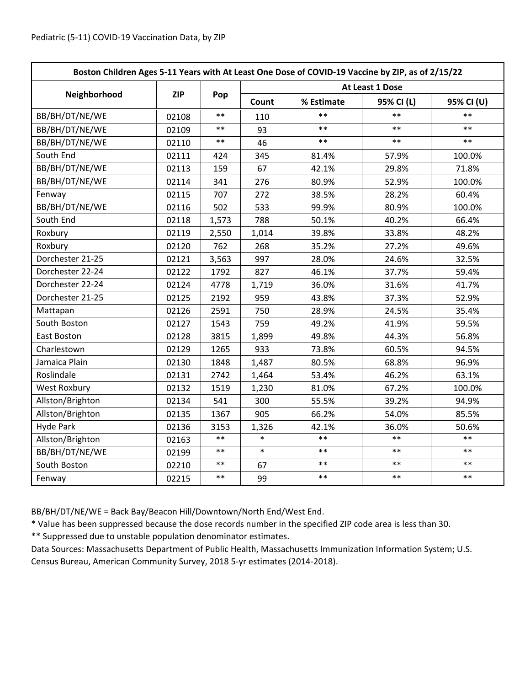| Boston Children Ages 5-11 Years with At Least One Dose of COVID-19 Vaccine by ZIP, as of 2/15/22 |            |            |                 |            |            |            |  |
|--------------------------------------------------------------------------------------------------|------------|------------|-----------------|------------|------------|------------|--|
|                                                                                                  | <b>ZIP</b> | Pop        | At Least 1 Dose |            |            |            |  |
| Neighborhood                                                                                     |            |            | Count           | % Estimate | 95% CI (L) | 95% CI (U) |  |
| BB/BH/DT/NE/WE                                                                                   | 02108      | $**$       | 110             | **         | $**$       | $**$       |  |
| BB/BH/DT/NE/WE                                                                                   | 02109      | $\ast\ast$ | 93              | $***$      | $***$      | $***$      |  |
| BB/BH/DT/NE/WE                                                                                   | 02110      | $***$      | 46              | $***$      | $***$      | $***$      |  |
| South End                                                                                        | 02111      | 424        | 345             | 81.4%      | 57.9%      | 100.0%     |  |
| BB/BH/DT/NE/WE                                                                                   | 02113      | 159        | 67              | 42.1%      | 29.8%      | 71.8%      |  |
| BB/BH/DT/NE/WE                                                                                   | 02114      | 341        | 276             | 80.9%      | 52.9%      | 100.0%     |  |
| Fenway                                                                                           | 02115      | 707        | 272             | 38.5%      | 28.2%      | 60.4%      |  |
| BB/BH/DT/NE/WE                                                                                   | 02116      | 502        | 533             | 99.9%      | 80.9%      | 100.0%     |  |
| South End                                                                                        | 02118      | 1,573      | 788             | 50.1%      | 40.2%      | 66.4%      |  |
| Roxbury                                                                                          | 02119      | 2,550      | 1,014           | 39.8%      | 33.8%      | 48.2%      |  |
| Roxbury                                                                                          | 02120      | 762        | 268             | 35.2%      | 27.2%      | 49.6%      |  |
| Dorchester 21-25                                                                                 | 02121      | 3,563      | 997             | 28.0%      | 24.6%      | 32.5%      |  |
| Dorchester 22-24                                                                                 | 02122      | 1792       | 827             | 46.1%      | 37.7%      | 59.4%      |  |
| Dorchester 22-24                                                                                 | 02124      | 4778       | 1,719           | 36.0%      | 31.6%      | 41.7%      |  |
| Dorchester 21-25                                                                                 | 02125      | 2192       | 959             | 43.8%      | 37.3%      | 52.9%      |  |
| Mattapan                                                                                         | 02126      | 2591       | 750             | 28.9%      | 24.5%      | 35.4%      |  |
| South Boston                                                                                     | 02127      | 1543       | 759             | 49.2%      | 41.9%      | 59.5%      |  |
| East Boston                                                                                      | 02128      | 3815       | 1,899           | 49.8%      | 44.3%      | 56.8%      |  |
| Charlestown                                                                                      | 02129      | 1265       | 933             | 73.8%      | 60.5%      | 94.5%      |  |
| Jamaica Plain                                                                                    | 02130      | 1848       | 1,487           | 80.5%      | 68.8%      | 96.9%      |  |
| Roslindale                                                                                       | 02131      | 2742       | 1,464           | 53.4%      | 46.2%      | 63.1%      |  |
| <b>West Roxbury</b>                                                                              | 02132      | 1519       | 1,230           | 81.0%      | 67.2%      | 100.0%     |  |
| Allston/Brighton                                                                                 | 02134      | 541        | 300             | 55.5%      | 39.2%      | 94.9%      |  |
| Allston/Brighton                                                                                 | 02135      | 1367       | 905             | 66.2%      | 54.0%      | 85.5%      |  |
| <b>Hyde Park</b>                                                                                 | 02136      | 3153       | 1,326           | 42.1%      | 36.0%      | 50.6%      |  |
| Allston/Brighton                                                                                 | 02163      | $***$      | $\ast$          | $**$       | $**$       | $***$      |  |
| BB/BH/DT/NE/WE                                                                                   | 02199      | $***$      | $\ast$          | $**$       | $***$      | $***$      |  |
| South Boston                                                                                     | 02210      | $\ast\ast$ | 67              | $***$      | $***$      | $***$      |  |
| Fenway                                                                                           | 02215      | $\ast\ast$ | 99              | $***$      | $***$      | $***$      |  |

BB/BH/DT/NE/WE = Back Bay/Beacon Hill/Downtown/North End/West End.

\* Value has been suppressed because the dose records number in the specified ZIP code area is less than 30.

\*\* Suppressed due to unstable population denominator estimates.